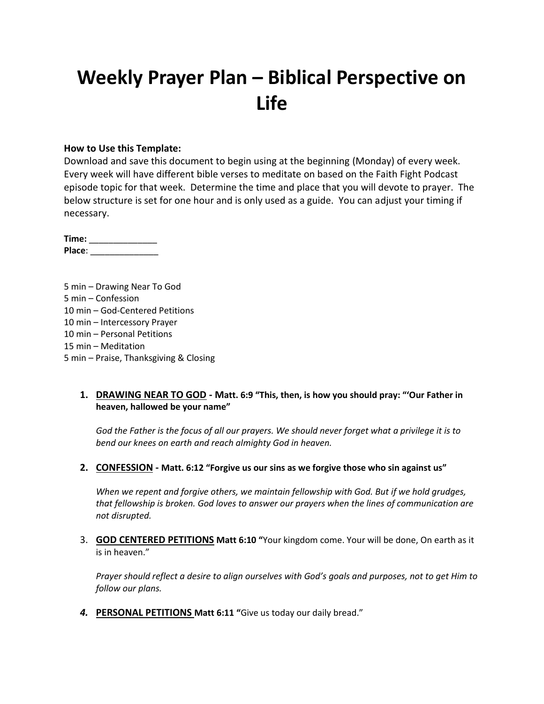# **Weekly Prayer Plan – Biblical Perspective on Life**

#### **How to Use this Template:**

Download and save this document to begin using at the beginning (Monday) of every week. Every week will have different bible verses to meditate on based on the Faith Fight Podcast episode topic for that week. Determine the time and place that you will devote to prayer. The below structure is set for one hour and is only used as a guide. You can adjust your timing if necessary.

| Time:  |  |
|--------|--|
| Place: |  |

5 min – Drawing Near To God 5 min – Confession 10 min – God-Centered Petitions 10 min – Intercessory Prayer 10 min – Personal Petitions 15 min – Meditation 5 min – Praise, Thanksgiving & Closing

#### **1. DRAWING NEAR TO GOD - Matt. 6:9 "This, then, is how you should pray: "'Our Father in heaven, hallowed be your name"**

*God the Father is the focus of all our prayers. We should never forget what a privilege it is to bend our knees on earth and reach almighty God in heaven.*

**2. CONFESSION - Matt. 6:12 "Forgive us our sins as we forgive those who sin against us"**

*When we repent and forgive others, we maintain fellowship with God. But if we hold grudges, that fellowship is broken. God loves to answer our prayers when the lines of communication are not disrupted.*

3. **GOD CENTERED PETITIONS Matt 6:10 "**Your kingdom come. Your will be done, On earth as it is in heaven."

*Prayer should reflect a desire to align ourselves with God's goals and purposes, not to get Him to follow our plans.*

*4.* **PERSONAL PETITIONS Matt 6:11 "**Give us today our daily bread."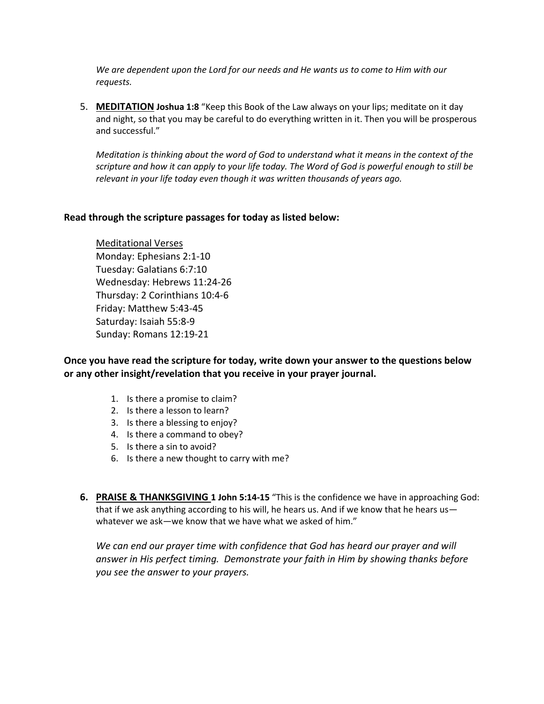*We are dependent upon the Lord for our needs and He wants us to come to Him with our requests.*

5. **MEDITATION Joshua 1:8** "Keep this Book of the Law always on your lips; meditate on it day and night, so that you may be careful to do everything written in it. Then you will be prosperous and successful."

*Meditation is thinking about the word of God to understand what it means in the context of the scripture and how it can apply to your life today. The Word of God is powerful enough to still be relevant in your life today even though it was written thousands of years ago.*

#### **Read through the scripture passages for today as listed below:**

Meditational Verses Monday: Ephesians 2:1-10 Tuesday: Galatians 6:7:10 Wednesday: Hebrews 11:24-26 Thursday: 2 Corinthians 10:4-6 Friday: Matthew 5:43-45 Saturday: Isaiah 55:8-9 Sunday: Romans 12:19-21

**Once you have read the scripture for today, write down your answer to the questions below or any other insight/revelation that you receive in your prayer journal.** 

- 1. Is there a promise to claim?
- 2. Is there a lesson to learn?
- 3. Is there a blessing to enjoy?
- 4. Is there a command to obey?
- 5. Is there a sin to avoid?
- 6. Is there a new thought to carry with me?
- **6. PRAISE & THANKSGIVING 1 John 5:14-15** "This is the confidence we have in approaching God: that if we ask anything according to his will, he hears us. And if we know that he hears us whatever we ask—we know that we have what we asked of him."

We can end our prayer time with confidence that God has heard our prayer and will *answer in His perfect timing. Demonstrate your faith in Him by showing thanks before you see the answer to your prayers.*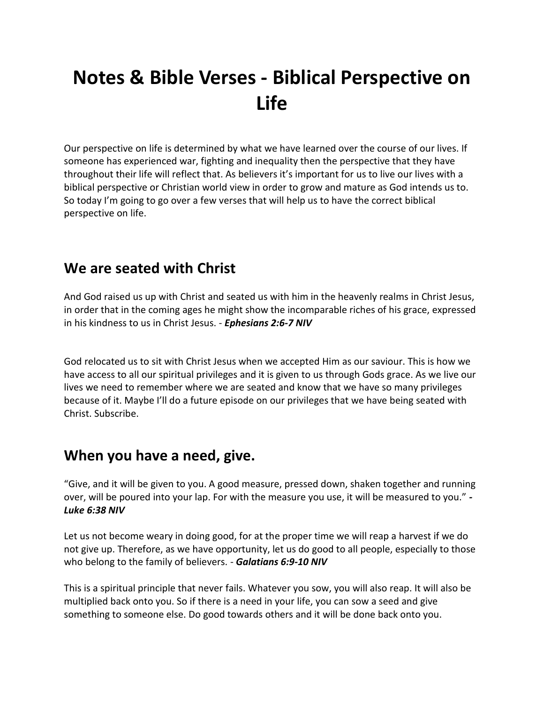# **Notes & Bible Verses - Biblical Perspective on Life**

Our perspective on life is determined by what we have learned over the course of our lives. If someone has experienced war, fighting and inequality then the perspective that they have throughout their life will reflect that. As believers it's important for us to live our lives with a biblical perspective or Christian world view in order to grow and mature as God intends us to. So today I'm going to go over a few verses that will help us to have the correct biblical perspective on life.

#### **We are seated with Christ**

And God raised us up with Christ and seated us with him in the heavenly realms in Christ Jesus, in order that in the coming ages he might show the incomparable riches of his grace, expressed in his kindness to us in Christ Jesus. - *Ephesians 2:6-7 NIV*

God relocated us to sit with Christ Jesus when we accepted Him as our saviour. This is how we have access to all our spiritual privileges and it is given to us through Gods grace. As we live our lives we need to remember where we are seated and know that we have so many privileges because of it. Maybe I'll do a future episode on our privileges that we have being seated with Christ. Subscribe.

## **When you have a need, give.**

"Give, and it will be given to you. A good measure, pressed down, shaken together and running over, will be poured into your lap. For with the measure you use, it will be measured to you." *- Luke 6:38 NIV*

Let us not become weary in doing good, for at the proper time we will reap a harvest if we do not give up. Therefore, as we have opportunity, let us do good to all people, especially to those who belong to the family of believers. - *Galatians 6:9-10 NIV*

This is a spiritual principle that never fails. Whatever you sow, you will also reap. It will also be multiplied back onto you. So if there is a need in your life, you can sow a seed and give something to someone else. Do good towards others and it will be done back onto you.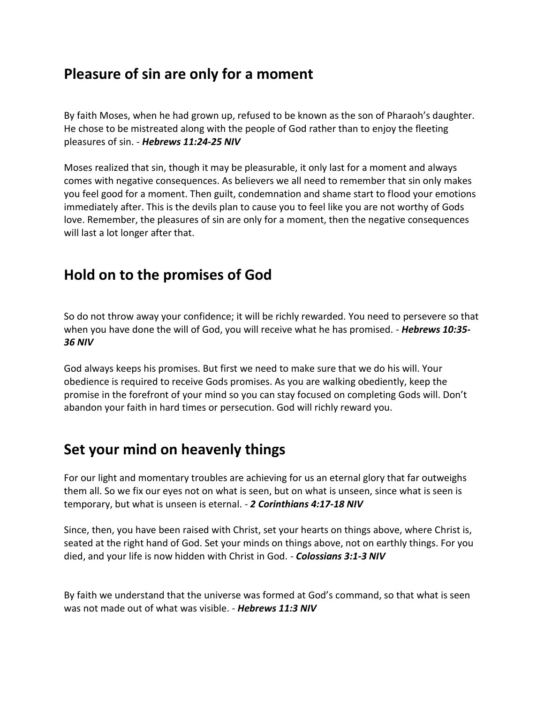### **Pleasure of sin are only for a moment**

By faith Moses, when he had grown up, refused to be known as the son of Pharaoh's daughter. He chose to be mistreated along with the people of God rather than to enjoy the fleeting pleasures of sin. - *Hebrews 11:24-25 NIV*

Moses realized that sin, though it may be pleasurable, it only last for a moment and always comes with negative consequences. As believers we all need to remember that sin only makes you feel good for a moment. Then guilt, condemnation and shame start to flood your emotions immediately after. This is the devils plan to cause you to feel like you are not worthy of Gods love. Remember, the pleasures of sin are only for a moment, then the negative consequences will last a lot longer after that.

### **Hold on to the promises of God**

So do not throw away your confidence; it will be richly rewarded. You need to persevere so that when you have done the will of God, you will receive what he has promised. - *Hebrews 10:35- 36 NIV*

God always keeps his promises. But first we need to make sure that we do his will. Your obedience is required to receive Gods promises. As you are walking obediently, keep the promise in the forefront of your mind so you can stay focused on completing Gods will. Don't abandon your faith in hard times or persecution. God will richly reward you.

## **Set your mind on heavenly things**

For our light and momentary troubles are achieving for us an eternal glory that far outweighs them all. So we fix our eyes not on what is seen, but on what is unseen, since what is seen is temporary, but what is unseen is eternal. - *2 Corinthians 4:17-18 NIV*

Since, then, you have been raised with Christ, set your hearts on things above, where Christ is, seated at the right hand of God. Set your minds on things above, not on earthly things. For you died, and your life is now hidden with Christ in God. - *Colossians 3:1-3 NIV*

By faith we understand that the universe was formed at God's command, so that what is seen was not made out of what was visible. - *Hebrews 11:3 NIV*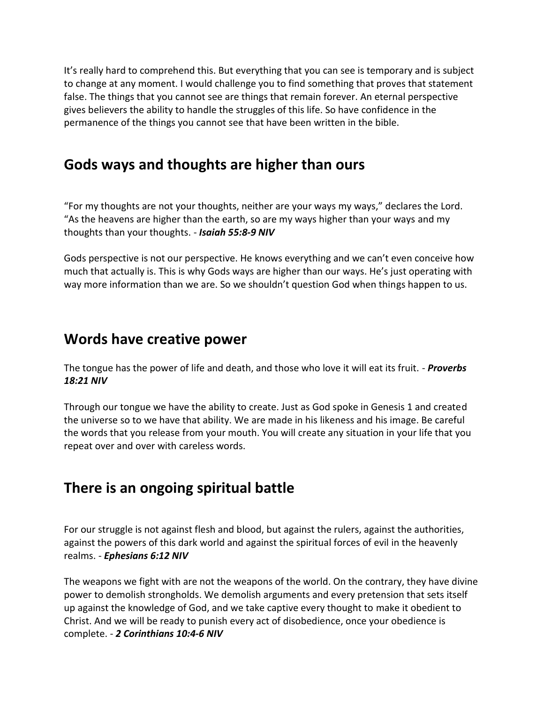It's really hard to comprehend this. But everything that you can see is temporary and is subject to change at any moment. I would challenge you to find something that proves that statement false. The things that you cannot see are things that remain forever. An eternal perspective gives believers the ability to handle the struggles of this life. So have confidence in the permanence of the things you cannot see that have been written in the bible.

#### **Gods ways and thoughts are higher than ours**

"For my thoughts are not your thoughts, neither are your ways my ways," declares the Lord. "As the heavens are higher than the earth, so are my ways higher than your ways and my thoughts than your thoughts. - *Isaiah 55:8-9 NIV*

Gods perspective is not our perspective. He knows everything and we can't even conceive how much that actually is. This is why Gods ways are higher than our ways. He's just operating with way more information than we are. So we shouldn't question God when things happen to us.

### **Words have creative power**

The tongue has the power of life and death, and those who love it will eat its fruit. - *Proverbs 18:21 NIV*

Through our tongue we have the ability to create. Just as God spoke in Genesis 1 and created the universe so to we have that ability. We are made in his likeness and his image. Be careful the words that you release from your mouth. You will create any situation in your life that you repeat over and over with careless words.

## **There is an ongoing spiritual battle**

For our struggle is not against flesh and blood, but against the rulers, against the authorities, against the powers of this dark world and against the spiritual forces of evil in the heavenly realms. - *Ephesians 6:12 NIV*

The weapons we fight with are not the weapons of the world. On the contrary, they have divine power to demolish strongholds. We demolish arguments and every pretension that sets itself up against the knowledge of God, and we take captive every thought to make it obedient to Christ. And we will be ready to punish every act of disobedience, once your obedience is complete. - *2 Corinthians 10:4-6 NIV*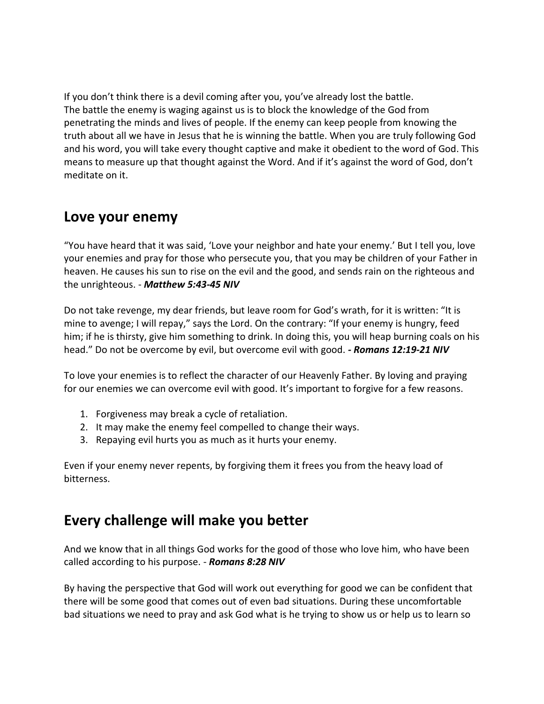If you don't think there is a devil coming after you, you've already lost the battle. The battle the enemy is waging against us is to block the knowledge of the God from penetrating the minds and lives of people. If the enemy can keep people from knowing the truth about all we have in Jesus that he is winning the battle. When you are truly following God and his word, you will take every thought captive and make it obedient to the word of God. This means to measure up that thought against the Word. And if it's against the word of God, don't meditate on it.

#### **Love your enemy**

"You have heard that it was said, 'Love your neighbor and hate your enemy.' But I tell you, love your enemies and pray for those who persecute you, that you may be children of your Father in heaven. He causes his sun to rise on the evil and the good, and sends rain on the righteous and the unrighteous. - *Matthew 5:43-45 NIV*

Do not take revenge, my dear friends, but leave room for God's wrath, for it is written: "It is mine to avenge; I will repay," says the Lord. On the contrary: "If your enemy is hungry, feed him; if he is thirsty, give him something to drink. In doing this, you will heap burning coals on his head." Do not be overcome by evil, but overcome evil with good. *- Romans 12:19-21 NIV*

To love your enemies is to reflect the character of our Heavenly Father. By loving and praying for our enemies we can overcome evil with good. It's important to forgive for a few reasons.

- 1. Forgiveness may break a cycle of retaliation.
- 2. It may make the enemy feel compelled to change their ways.
- 3. Repaying evil hurts you as much as it hurts your enemy.

Even if your enemy never repents, by forgiving them it frees you from the heavy load of bitterness.

## **Every challenge will make you better**

And we know that in all things God works for the good of those who love him, who have been called according to his purpose. - *Romans 8:28 NIV*

By having the perspective that God will work out everything for good we can be confident that there will be some good that comes out of even bad situations. During these uncomfortable bad situations we need to pray and ask God what is he trying to show us or help us to learn so